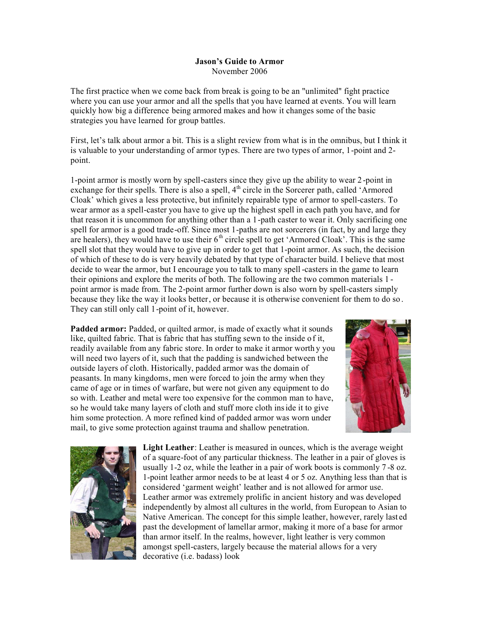## **Jason's Guide to Armor** November 2006

The first practice when we come back from break is going to be an "unlimited" fight practice where you can use your armor and all the spells that you have learned at events. You will learn quickly how big a difference being armored makes and how it changes some of the basic strategies you have learned for group battles.

First, let's talk about armor a bit. This is a slight review from what is in the omnibus, but I think it is valuable to your understanding of armor types. There are two types of armor, 1-point and 2 point.

1-point armor is mostly worn by spell-casters since they give up the ability to wear 2 -point in exchange for their spells. There is also a spell, 4<sup>th</sup> circle in the Sorcerer path, called 'Armored Cloak' which gives a less protective, but infinitely repairable type of armor to spell-casters. To wear armor as a spell-caster you have to give up the highest spell in each path you have, and for that reason it is uncommon for anything other than a 1-path caster to wear it. Only sacrificing one spell for armor is a good trade-off. Since most 1-paths are not sorcerers (in fact, by and large they are healers), they would have to use their  $6<sup>th</sup>$  circle spell to get 'Armored Cloak'. This is the same spell slot that they would have to give up in order to get that 1-point armor. As such, the decision of which of these to do is very heavily debated by that type of character build. I believe that most decide to wear the armor, but I encourage you to talk to many spell -casters in the game to learn their opinions and explore the merits of both. The following are the two common materials 1 point armor is made from. The 2-point armor further down is also worn by spell-casters simply because they like the way it looks better, or because it is otherwise convenient for them to do so . They can still only call 1-point of it, however.

**Padded armor:** Padded, or quilted armor, is made of exactly what it sounds like, quilted fabric. That is fabric that has stuffing sewn to the inside of it, readily available from any fabric store. In order to make it armor worth y you will need two layers of it, such that the padding is sandwiched between the outside layers of cloth. Historically, padded armor was the domain of peasants. In many kingdoms, men were forced to join the army when they came of age or in times of warfare, but were not given any equipment to do so with. Leather and metal were too expensive for the common man to have, so he would take many layers of cloth and stuff more cloth inside it to give him some protection. A more refined kind of padded armor was worn under mail, to give some protection against trauma and shallow penetration.





**Light Leather**: Leather is measured in ounces, which is the average weight of a square-foot of any particular thickness. The leather in a pair of gloves is usually 1-2 oz, while the leather in a pair of work boots is commonly 7 -8 oz. 1-point leather armor needs to be at least 4 or 5 oz. Anything less than that is considered 'garment weight' leather and is not allowed for armor use. Leather armor was extremely prolific in ancient history and was developed independently by almost all cultures in the world, from European to Asian to Native American. The concept for this simple leather, however, rarely last ed past the development of lamellar armor, making it more of a base for armor than armor itself. In the realms, however, light leather is very common amongst spell-casters, largely because the material allows for a very decorative (i.e. badass) look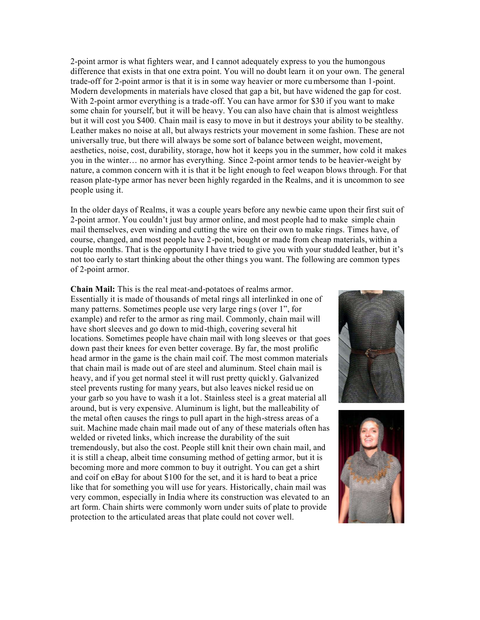2-point armor is what fighters wear, and I cannot adequately express to you the humongous difference that exists in that one extra point. You will no doubt learn it on your own. The general trade-off for 2-point armor is that it is in some way heavier or more cumbersome than 1-point. Modern developments in materials have closed that gap a bit, but have widened the gap for cost. With 2-point armor everything is a trade-off. You can have armor for \$30 if you want to make some chain for yourself, but it will be heavy. You can also have chain that is almost weightless but it will cost you \$400. Chain mail is easy to move in but it destroys your ability to be stealthy. Leather makes no noise at all, but always restricts your movement in some fashion. These are not universally true, but there will always be some sort of balance between weight, movement, aesthetics, noise, cost, durability, storage, how hot it keeps you in the summer, how cold it makes you in the winter… no armor has everything. Since 2-point armor tends to be heavier-weight by nature, a common concern with it is that it be light enough to feel weapon blows through. For that reason plate-type armor has never been highly regarded in the Realms, and it is uncommon to see people using it.

In the older days of Realms, it was a couple years before any newbie came upon their first suit of 2-point armor. You couldn't just buy armor online, and most people had to make simple chain mail themselves, even winding and cutting the wire on their own to make rings. Times have, of course, changed, and most people have 2-point, bought or made from cheap materials, within a couple months. That is the opportunity I have tried to give you with your studded leather, but it's not too early to start thinking about the other things you want. The following are common types of 2-point armor.

**Chain Mail:** This is the real meat-and-potatoes of realms armor. Essentially it is made of thousands of metal rings all interlinked in one of many patterns. Sometimes people use very large ring s (over 1", for example) and refer to the armor as ring mail. Commonly, chain mail will have short sleeves and go down to mid-thigh, covering several hit locations. Sometimes people have chain mail with long sleeves or that goes down past their knees for even better coverage. By far, the most prolific head armor in the game is the chain mail coif. The most common materials that chain mail is made out of are steel and aluminum. Steel chain mail is heavy, and if you get normal steel it will rust pretty quickl y. Galvanized steel prevents rusting for many years, but also leaves nickel resid ue on your garb so you have to wash it a lot. Stainless steel is a great material all around, but is very expensive. Aluminum is light, but the malleability of the metal often causes the rings to pull apart in the high-stress areas of a suit. Machine made chain mail made out of any of these materials often has welded or riveted links, which increase the durability of the suit tremendously, but also the cost. People still knit their own chain mail, and it is still a cheap, albeit time consuming method of getting armor, but it is becoming more and more common to buy it outright. You can get a shirt and coif on eBay for about \$100 for the set, and it is hard to beat a price like that for something you will use for years. Historically, chain mail was very common, especially in India where its construction was elevated to an art form. Chain shirts were commonly worn under suits of plate to provide protection to the articulated areas that plate could not cover well.



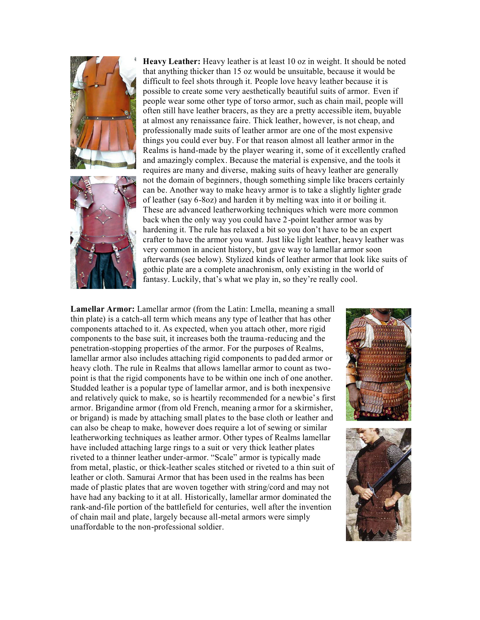

**Heavy Leather:** Heavy leather is at least 10 oz in weight. It should be noted that anything thicker than 15 oz would be unsuitable, because it would be difficult to feel shots through it. People love heavy leather because it is possible to create some very aesthetically beautiful suits of armor. Even if people wear some other type of torso armor, such as chain mail, people will often still have leather bracers, as they are a pretty accessible item, buyable at almost any renaissance faire. Thick leather, however, is not cheap, and professionally made suits of leather armor are one of the most expensive things you could ever buy. For that reason almost all leather armor in the Realms is hand-made by the player wearing it, some of it excellently crafted and amazingly complex. Because the material is expensive, and the tools it requires are many and diverse, making suits of heavy leather are generally not the domain of beginners, though something simple like bracers certainly can be. Another way to make heavy armor is to take a slightly lighter grade of leather (say 6-8oz) and harden it by melting wax into it or boiling it. These are advanced leatherworking techniques which were more common back when the only way you could have 2-point leather armor was by hardening it. The rule has relaxed a bit so you don't have to be an expert crafter to have the armor you want. Just like light leather, heavy leather was very common in ancient history, but gave way to lamellar armor soon afterwards (see below). Stylized kinds of leather armor that look like suits of gothic plate are a complete anachronism, only existing in the world of fantasy. Luckily, that's what we play in, so they're really cool.

**Lamellar Armor:** Lamellar armor (from the Latin: Lmella, meaning a small thin plate) is a catch-all term which means any type of leather that has other components attached to it. As expected, when you attach other, more rigid components to the base suit, it increases both the trauma -reducing and the penetration-stopping properties of the armor. For the purposes of Realms, lamellar armor also includes attaching rigid components to pad ded armor or heavy cloth. The rule in Realms that allows lamellar armor to count as two point is that the rigid components have to be within one inch of one another. Studded leather is a popular type of lamellar armor, and is both inexpensive and relatively quick to make, so is heartily recommended for a newbie's first armor. Brigandine armor (from old French, meaning a rmor for a skirmisher, or brigand) is made by attaching small plates to the base cloth or leather and can also be cheap to make, however does require a lot of sewing or similar leatherworking techniques as leather armor. Other types of Realms lamellar have included attaching large rings to a suit or very thick leather plates riveted to a thinner leather under-armor. "Scale" armor is typically made from metal, plastic, or thick-leather scales stitched or riveted to a thin suit of leather or cloth. Samurai Armor that has been used in the realms has been made of plastic plates that are woven together with string/cord and may not have had any backing to it at all. Historically, lamellar armor dominated the rank-and-file portion of the battlefield for centuries, well after the invention of chain mail and plate, largely because all-metal armors were simply unaffordable to the non-professional soldier.



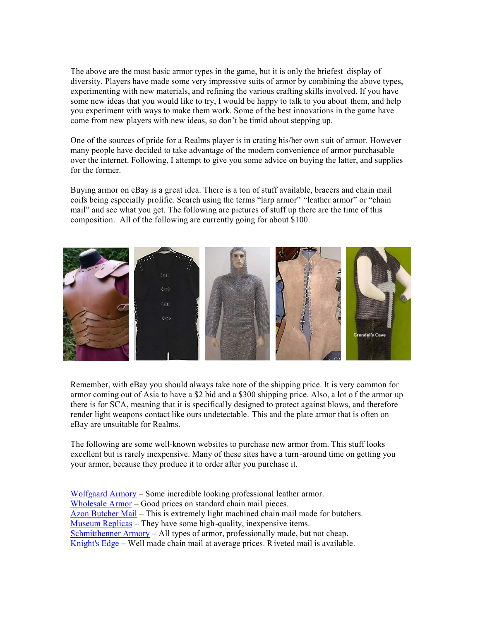The above are the most basic armor types in the game, but it is only the briefest display of diversity. Players have made some very impressive suits of armor by combining the above types, experimenting with new materials, and refining the various crafting skills involved. If you have some new ideas that you would like to try, I would be happy to talk to you about them, and help you experiment with ways to make them work. Some of the best innovations in the game have come from new players with new ideas, so don't be timid about stepping up.

One of the sources of pride for a Realms player is in crating his/her own suit of armor. However many people have decided to take advantage of the modern convenience of armor purchasable over the internet. Following, I attempt to give you some advice on buying the latter, and supplies for the former.

Buying armor on eBay is a great idea. There is a ton of stuff available, bracers and chain mail coifs being especially prolific. Search using the terms "larp armor" "leather armor" or "chain mail" and see what you get. The following are pictures of stuff up there are the time of this composition. All of the following are currently going for about \$100.



Remember, with eBay you should always take note of the shipping price. It is very common for armor coming out of Asia to have a \$2 bid and a \$300 shipping price. Also, a lot o f the armor up there is for SCA, meaning that it is specifically designed to protect against blows, and therefore render light weapons contact like ours undetectable. This and the plate armor that is often on eBay are unsuitable for Realms.

The following are some well-known websites to purchase new armor from. This stuff looks excellent but is rarely inexpensive. Many of these sites have a turn -around time on getting you your armor, because they produce it to order after you purchase it.

Wolfgaard Armory – Some incredible looking professional leather armor. [Wholesale Armor](http://www.wholesalearmor.com/) – Good prices on standard chain mail pieces. [Azon Butcher Mail](http://www.ringmesh.com/Homex.htm) – This is extremely light machined chain mail made for butchers. [Museum Replicas](http://www.museumreplicas.com/webstore/Home.aspx) – They have some high-quality, inexpensive items. [Schmitthenner Armory](http://www.schmitthenner.com/) – All types of armor, professionally made, but not cheap. [Knight's Edge](http://www.knightsedge.com/chainmail.htm?ref=google-ad&gclid=CNnOzZSH1YgCFQWHQAodOkecPQ) – Well made chain mail at average prices. Riveted mail is available.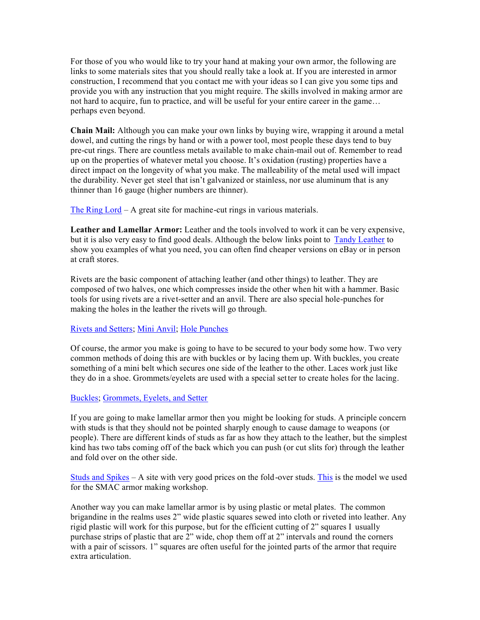For those of you who would like to try your hand at making your own armor, the following are links to some materials sites that you should really take a look at. If you are interested in armor construction, I recommend that you contact me with your ideas so I can give you some tips and provide you with any instruction that you might require. The skills involved in making armor are not hard to acquire, fun to practice, and will be useful for your entire career in the game… perhaps even beyond.

**Chain Mail:** Although you can make your own links by buying wire, wrapping it around a metal dowel, and cutting the rings by hand or with a power tool, most people these days tend to buy pre-cut rings. There are countless metals available to make chain-mail out of. Remember to read up on the properties of whatever metal you choose. It's oxidation (rusting) properties have a direct impact on the longevity of what you make. The malleability of the metal used will impact the durability. Never get steel that isn't galvanized or stainless, nor use aluminum that is any thinner than 16 gauge (higher numbers are thinner).

[The Ring Lord](http://theringlord.com/) – A great site for machine-cut rings in various materials.

**Leather and Lamellar Armor:** Leather and the tools involved to work it can be very expensive, but it is also very easy to find good deals. Although the below links point to [Tandy Leather](http://www.tandyleather.com) to show you examples of what you need, you can often find cheaper versions on eBay or in person at craft stores.

Rivets are the basic component of attaching leather (and other things) to leather. They are composed of two halves, one which compresses inside the other when hit with a hammer. Basic tools for using rivets are a rivet-setter and an anvil. There are also special hole-punches for making the holes in the leather the rivets will go through.

## [Rivets and Setters;](http://www.tandyleather.com/products.asp?dept=230) [Mini Anvil](http://www.tandyleather.com/products.asp?number=35010-00)[; Hole Punches](http://www.tandyleather.com/products.asp?dept=206)

Of course, the armor you make is going to have to be secured to your body some how. Two very common methods of doing this are with buckles or by lacing them up. With buckles, you create something of a mini belt which secures one side of the leather to the other. Laces work just like they do in a shoe. Grommets/eyelets are used with a special setter to create holes for the lacing.

## [Buckles;](http://www.tandyleather.com/products.asp?dept=48) [Grommets, Eyelets, and Setter](http://www.tandyleather.com/products.asp?dept=223)

If you are going to make lamellar armor then you might be looking for studs. A principle concern with studs is that they should not be pointed sharply enough to cause damage to weapons (or people). There are different kinds of studs as far as how they attach to the leather, but the simplest kind has two tabs coming off of the back which you can push (or cut slits for) through the leather and fold over on the other side.

[Studs and Spikes](http://studsandspikes.com/buy/studs-c-57.html)  $- A$  site with very good prices on the fold-over studs. [This](http://studsandspikes.com/buy/stud-cone-standard-p-48.html) is the model we used for the SMAC armor making workshop.

Another way you can make lamellar armor is by using plastic or metal plates. The common brigandine in the realms uses 2" wide plastic squares sewed into cloth or riveted into leather. Any rigid plastic will work for this purpose, but for the efficient cutting of 2" squares I usually purchase strips of plastic that are 2" wide, chop them off at 2" intervals and round the corners with a pair of scissors. 1" squares are often useful for the jointed parts of the armor that require extra articulation.